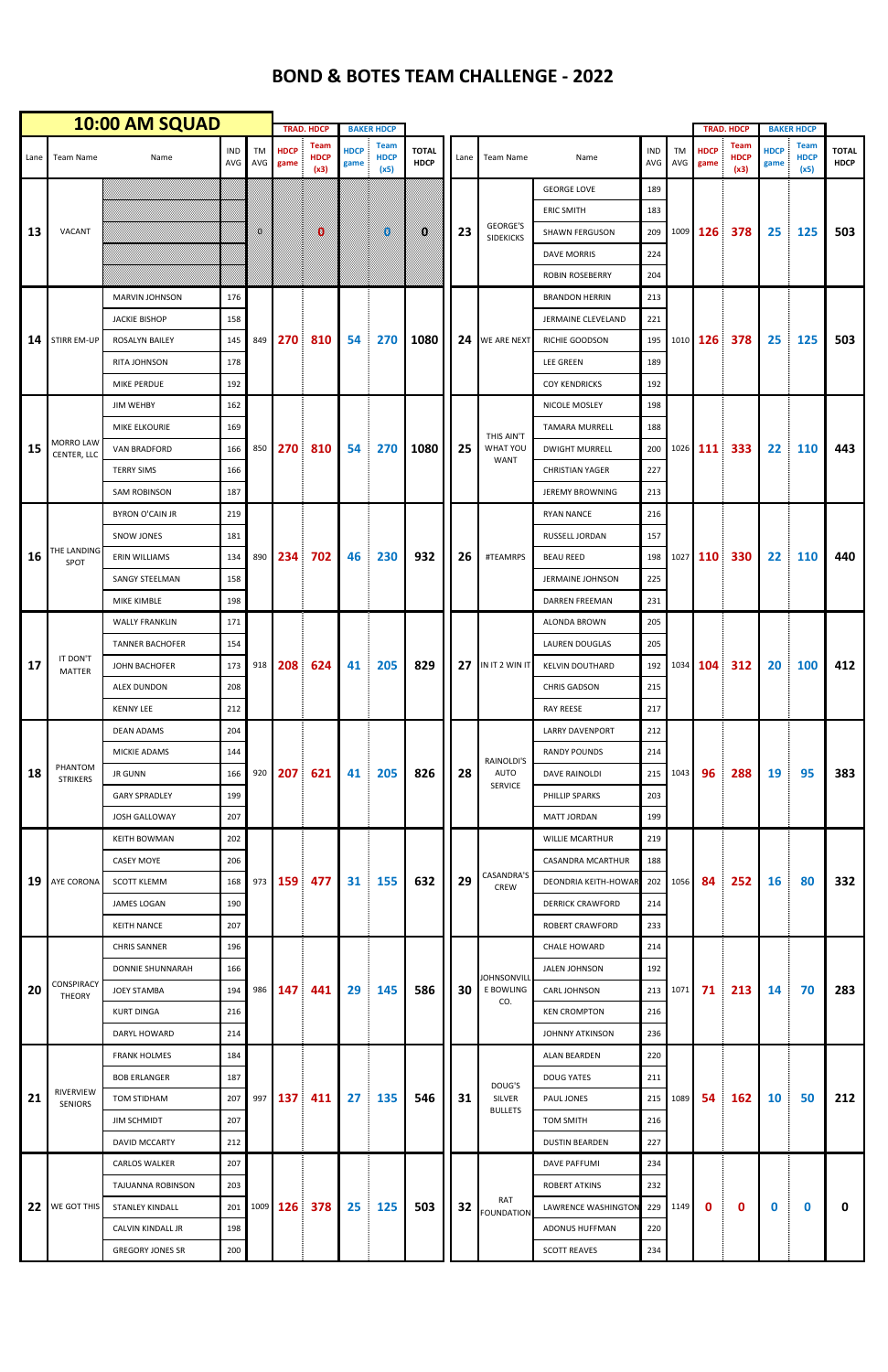|      | 10:00 AM SQUAD                     |                         |                   |                  |                     | <b>TRAD. HDCP</b>                  |                     | <b>BAKER HDCP</b>                  |                             |      |                                             |                             |                   |              | <b>TRAD. HDCP</b>   | <b>BAKER HDCP</b>           |                     |                                    |                             |
|------|------------------------------------|-------------------------|-------------------|------------------|---------------------|------------------------------------|---------------------|------------------------------------|-----------------------------|------|---------------------------------------------|-----------------------------|-------------------|--------------|---------------------|-----------------------------|---------------------|------------------------------------|-----------------------------|
| Lane | Team Name                          | Name                    | <b>IND</b><br>AVG | <b>TM</b><br>AVG | <b>HDCP</b><br>game | <b>Team</b><br><b>HDCP</b><br>(x3) | <b>HDCP</b><br>game | <b>Team</b><br><b>HDCP</b><br>(x5) | <b>TOTAL</b><br><b>HDCP</b> | Lane | Team Name                                   | Name                        | <b>IND</b><br>AVG | TM<br>AVG    | <b>HDCP</b><br>game | Team<br><b>HDCP</b><br>(x3) | <b>HDCP</b><br>game | <b>Team</b><br><b>HDCP</b><br>(x5) | <b>TOTAL</b><br><b>HDCP</b> |
| 13   |                                    |                         |                   | K.               |                     |                                    |                     |                                    |                             |      |                                             | <b>GEORGE LOVE</b>          | 189               |              |                     |                             | 25                  | 125                                | 503                         |
|      |                                    |                         |                   |                  |                     |                                    |                     |                                    |                             |      |                                             | <b>ERIC SMITH</b>           | 183               |              |                     |                             |                     |                                    |                             |
|      | VACANT                             |                         |                   |                  |                     | 0                                  |                     | Ø                                  | Ø                           | 23   | <b>GEORGE'S</b><br><b>SIDEKICKS</b>         | <b>SHAWN FERGUSON</b>       | 209               |              | 1009 126            | 378                         |                     |                                    |                             |
|      |                                    |                         |                   |                  |                     |                                    |                     |                                    |                             |      |                                             | <b>DAVE MORRIS</b>          | 224               |              |                     |                             |                     |                                    |                             |
|      |                                    |                         |                   |                  |                     |                                    |                     |                                    |                             |      |                                             | <b>ROBIN ROSEBERRY</b>      | 204               |              |                     |                             |                     |                                    |                             |
|      |                                    | <b>MARVIN JOHNSON</b>   | 176               |                  |                     |                                    |                     |                                    |                             |      |                                             | <b>BRANDON HERRIN</b>       | 213               |              |                     |                             |                     |                                    |                             |
| 14   | <b>STIRR EM-UP</b>                 | <b>JACKIE BISHOP</b>    | 158               | 849              | <b>270</b>          | 810                                | 54                  | 270                                | 1080                        | 24   | <b>WE ARE NEXT</b>                          | JERMAINE CLEVELAND          | 221               |              | 1010 126            | 378                         | 25                  | 125                                | 503                         |
|      |                                    | <b>ROSALYN BAILEY</b>   | 145               |                  |                     |                                    |                     |                                    |                             |      |                                             | <b>RICHIE GOODSON</b>       | 195               |              |                     |                             |                     |                                    |                             |
|      |                                    | <b>RITA JOHNSON</b>     | 178               |                  |                     |                                    |                     |                                    |                             |      |                                             | <b>LEE GREEN</b>            | 189               |              |                     |                             |                     |                                    |                             |
|      |                                    | <b>MIKE PERDUE</b>      | 192               |                  |                     |                                    |                     |                                    |                             |      |                                             | <b>COY KENDRICKS</b>        | 192               |              |                     |                             |                     |                                    |                             |
| 15   |                                    | <b>JIM WEHBY</b>        | 162               | 850              |                     |                                    |                     |                                    |                             |      |                                             | NICOLE MOSLEY               | 198               |              |                     |                             |                     |                                    |                             |
|      |                                    | MIKE ELKOURIE           | 169               |                  |                     | 810                                | 54                  |                                    |                             |      | THIS AIN'T<br><b>WHAT YOU</b><br>WANT       | <b>TAMARA MURRELL</b>       | 188               |              |                     |                             |                     |                                    | 443                         |
|      | MORRO LAW<br>CENTER, LLC           | <b>VAN BRADFORD</b>     | 166               |                  | 270                 |                                    |                     | 270                                | 1080                        | 25   |                                             | <b>DWIGHT MURRELL</b>       | 200               |              | 1026 111            | 333                         | 22                  | 110                                |                             |
|      |                                    | <b>TERRY SIMS</b>       | 166               |                  |                     |                                    |                     |                                    |                             |      |                                             | <b>CHRISTIAN YAGER</b>      | 227               |              |                     |                             |                     |                                    |                             |
|      |                                    | <b>SAM ROBINSON</b>     | 187               |                  |                     |                                    |                     |                                    |                             |      |                                             | <b>JEREMY BROWNING</b>      | 213               |              |                     |                             |                     |                                    |                             |
|      |                                    | <b>BYRON O'CAIN JR</b>  | 219               |                  |                     |                                    |                     |                                    |                             |      |                                             | <b>RYAN NANCE</b>           | 216               |              |                     |                             |                     |                                    |                             |
| 16   |                                    | <b>SNOW JONES</b>       | 181               | 890              | 234                 | 702                                | 46                  | 230                                |                             |      | #TEAMRPS                                    | RUSSELL JORDAN              | 157               |              | 1027 110            | 330                         | 22                  | 110                                | 440                         |
|      | THE LANDING<br>SPOT                | ERIN WILLIAMS           | 134               |                  |                     |                                    |                     |                                    | 932                         | 26   |                                             | <b>BEAU REED</b>            | 198               |              |                     |                             |                     |                                    |                             |
|      |                                    | <b>SANGY STEELMAN</b>   | 158               |                  |                     |                                    |                     |                                    |                             |      |                                             | <b>JERMAINE JOHNSON</b>     | 225               |              |                     |                             |                     |                                    |                             |
|      |                                    | MIKE KIMBLE             | 198               |                  |                     |                                    |                     |                                    |                             |      |                                             | DARREN FREEMAN              | 231               |              |                     |                             |                     |                                    |                             |
|      |                                    | <b>WALLY FRANKLIN</b>   | 171               | 918              | 208                 | 624                                | 41                  | 205                                |                             |      |                                             | ALONDA BROWN                | 205               | 192 1034 104 |                     | 312                         | 20                  | <b>100</b>                         | 412                         |
| 17   | IT DON'T<br>MATTER                 | <b>TANNER BACHOFER</b>  | 154               |                  |                     |                                    |                     |                                    | 829                         | 27   | IN IT 2 WIN IT                              | <b>LAUREN DOUGLAS</b>       | 205               |              |                     |                             |                     |                                    |                             |
|      |                                    | JOHN BACHOFER           | 173               |                  |                     |                                    |                     |                                    |                             |      |                                             | <b>KELVIN DOUTHARD</b>      |                   |              |                     |                             |                     |                                    |                             |
|      |                                    | ALEX DUNDON             | 208               |                  |                     |                                    |                     |                                    |                             |      |                                             | <b>CHRIS GADSON</b>         | 215               |              |                     |                             |                     |                                    |                             |
|      |                                    | <b>KENNY LEE</b>        | 212               |                  |                     |                                    |                     |                                    |                             |      |                                             | <b>RAY REESE</b>            | 217               |              |                     |                             |                     |                                    |                             |
| 18   |                                    | <b>DEAN ADAMS</b>       | 204               | 920              |                     | 621                                | 41                  | 205                                |                             | 28   | RAINOLDI'S<br><b>AUTO</b><br><b>SERVICE</b> | LARRY DAVENPORT             | 212               | 1043         |                     | 288                         | 19                  | 95                                 | 383                         |
|      |                                    | MICKIE ADAMS            | 144               |                  | 207                 |                                    |                     |                                    |                             |      |                                             | <b>RANDY POUNDS</b>         | 214               |              |                     |                             |                     |                                    |                             |
|      | PHANTOM<br><b>STRIKERS</b>         | <b>JR GUNN</b>          | 166               |                  |                     |                                    |                     |                                    | 826                         |      |                                             | DAVE RAINOLDI               | 215               |              | 96                  |                             |                     |                                    |                             |
|      |                                    | <b>GARY SPRADLEY</b>    | 199               |                  |                     |                                    |                     |                                    |                             |      |                                             | PHILLIP SPARKS              | 203               |              |                     |                             |                     |                                    |                             |
|      |                                    | JOSH GALLOWAY           | 207               |                  |                     |                                    |                     |                                    |                             |      |                                             | <b>MATT JORDAN</b>          | 199               |              |                     |                             |                     |                                    |                             |
| 19   |                                    | <b>KEITH BOWMAN</b>     | 202               | 973              | <b>159</b>          | 477                                | 31                  | 155                                |                             | 29   | CASANDRA'S<br>CREW                          | <b>WILLIE MCARTHUR</b>      | 219               |              | 84                  | 252                         | <b>16</b>           | 80                                 | 332                         |
|      | AYE CORONA                         | <b>CASEY MOYE</b>       | 206               |                  |                     |                                    |                     |                                    |                             |      |                                             | CASANDRA MCARTHUR           | 188               | 1056         |                     |                             |                     |                                    |                             |
|      |                                    | <b>SCOTT KLEMM</b>      | 168               |                  |                     |                                    |                     |                                    | 632                         |      |                                             | <b>DEONDRIA KEITH-HOWAR</b> | 202               |              |                     |                             |                     |                                    |                             |
|      |                                    | <b>JAMES LOGAN</b>      | 190               |                  |                     |                                    |                     |                                    |                             |      |                                             | <b>DERRICK CRAWFORD</b>     | 214               |              |                     |                             |                     |                                    |                             |
|      |                                    | <b>KEITH NANCE</b>      | 207               |                  |                     |                                    |                     |                                    |                             |      |                                             | <b>ROBERT CRAWFORD</b>      | 233               |              |                     |                             |                     |                                    |                             |
| 20   |                                    | <b>CHRIS SANNER</b>     | 196               | 986              | 147                 | 441                                | 29                  |                                    |                             | 30   | <b>JOHNSONVILL</b><br>E BOWLING<br>CO.      | <b>CHALE HOWARD</b>         | 214               | 1071         |                     | 213                         | 14                  | 70                                 | 283                         |
|      |                                    | DONNIE SHUNNARAH        | 166               |                  |                     |                                    |                     | 145                                |                             |      |                                             | JALEN JOHNSON               | 192               |              | 71                  |                             |                     |                                    |                             |
|      | <b>CONSPIRACY</b><br><b>THEORY</b> | <b>JOEY STAMBA</b>      | 194               |                  |                     |                                    |                     |                                    | 586                         |      |                                             | <b>CARL JOHNSON</b>         | 213               |              |                     |                             |                     |                                    |                             |
|      |                                    | <b>KURT DINGA</b>       | 216               |                  |                     |                                    |                     |                                    |                             |      |                                             | <b>KEN CROMPTON</b>         | 216               |              |                     |                             |                     |                                    |                             |
|      |                                    | DARYL HOWARD            | 214               |                  |                     |                                    |                     |                                    |                             |      |                                             | JOHNNY ATKINSON             | 236               |              |                     |                             |                     |                                    |                             |
| 21   |                                    | <b>FRANK HOLMES</b>     | 184               | 997              | 137                 | 411                                | 27                  |                                    |                             |      | DOUG'S<br>SILVER<br><b>BULLETS</b>          | ALAN BEARDEN                | 220               | 1089         |                     |                             |                     |                                    |                             |
|      |                                    | <b>BOB ERLANGER</b>     | 187               |                  |                     |                                    |                     | 135                                |                             |      |                                             | <b>DOUG YATES</b>           | 211               |              | 54                  |                             |                     |                                    | 212                         |
|      | <b>RIVERVIEW</b><br><b>SENIORS</b> | TOM STIDHAM             | 207               |                  |                     |                                    |                     |                                    | 546                         | 31   |                                             | PAUL JONES                  | 215               |              |                     | 162                         | <b>10</b>           | 50                                 |                             |
|      |                                    | <b>JIM SCHMIDT</b>      | 207               |                  |                     |                                    |                     |                                    |                             |      |                                             | TOM SMITH                   | 216               |              |                     |                             |                     |                                    |                             |
|      |                                    | DAVID MCCARTY           | 212               |                  |                     |                                    |                     |                                    |                             |      |                                             | <b>DUSTIN BEARDEN</b>       | 227               |              |                     |                             |                     |                                    |                             |
|      |                                    | CARLOS WALKER           | 207               |                  |                     |                                    |                     |                                    |                             |      |                                             | <b>DAVE PAFFUMI</b>         | 234               |              |                     |                             |                     |                                    |                             |
|      | 22 WE GOT THIS                     | TAJUANNA ROBINSON       | 203               |                  | 1009 126            | 378                                | 25                  | 125                                |                             |      | RAT<br><b>FOUNDATION</b>                    | <b>ROBERT ATKINS</b>        | 232               | 229 1149     | $\mathbf 0$         | 0                           | $\mathbf 0$         | 0                                  | $\mathbf 0$                 |
|      |                                    | STANLEY KINDALL         | 201               |                  |                     |                                    |                     |                                    | 503                         | 32   |                                             | LAWRENCE WASHINGTON         |                   |              |                     |                             |                     |                                    |                             |
|      |                                    | CALVIN KINDALL JR       | 198               |                  |                     |                                    |                     |                                    |                             |      |                                             | ADONUS HUFFMAN              | 220               |              |                     |                             |                     |                                    |                             |
|      |                                    | <b>GREGORY JONES SR</b> | 200               |                  |                     |                                    |                     |                                    |                             |      |                                             | <b>SCOTT REAVES</b>         | 234               |              |                     |                             |                     |                                    |                             |
|      |                                    |                         |                   |                  |                     |                                    |                     |                                    |                             |      |                                             |                             |                   |              |                     |                             |                     |                                    |                             |

## **BOND & BOTES TEAM CHALLENGE - 2022**